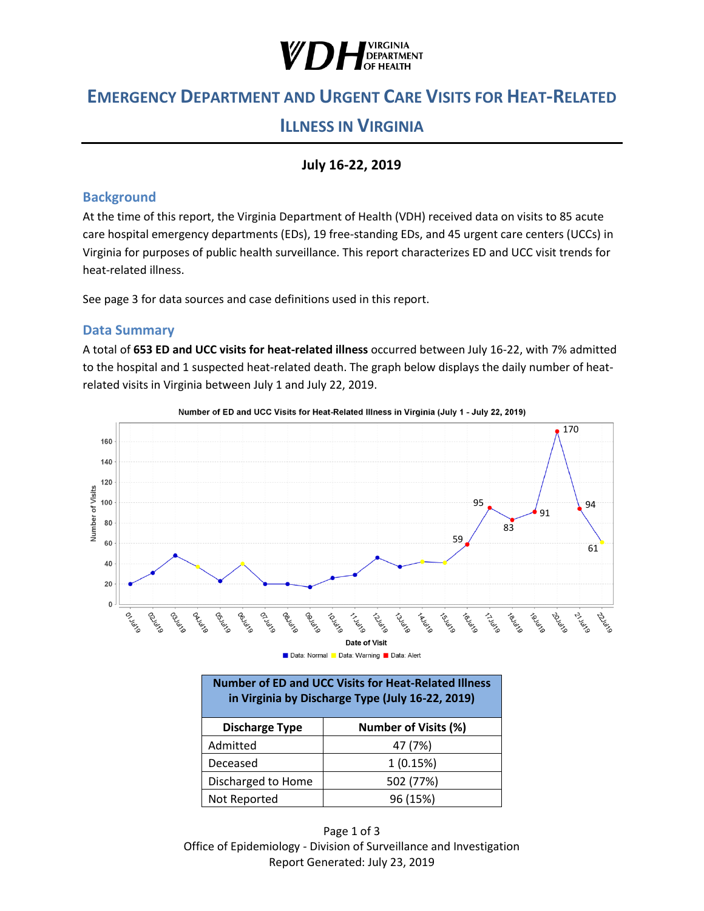

# **EMERGENCY DEPARTMENT AND URGENT CARE VISITS FOR HEAT-RELATED**

## **ILLNESS IN VIRGINIA**

### **July 16-22, 2019**

#### **Background**

At the time of this report, the Virginia Department of Health (VDH) received data on visits to 85 acute care hospital emergency departments (EDs), 19 free-standing EDs, and 45 urgent care centers (UCCs) in Virginia for purposes of public health surveillance. This report characterizes ED and UCC visit trends for heat-related illness.

See page 3 for data sources and case definitions used in this report.

#### **Data Summary**

A total of **653 ED and UCC visits for heat-related illness** occurred between July 16-22, with 7% admitted to the hospital and 1 suspected heat-related death. The graph below displays the daily number of heatrelated visits in Virginia between July 1 and July 22, 2019.



Number of ED and UCC Visits for Heat-Related Illness in Virginia (July 1 - July 22, 2019)



| <b>Number of ED and UCC Visits for Heat-Related Illness</b><br>in Virginia by Discharge Type (July 16-22, 2019) |                             |
|-----------------------------------------------------------------------------------------------------------------|-----------------------------|
| <b>Discharge Type</b>                                                                                           | <b>Number of Visits (%)</b> |
| Admitted                                                                                                        | 47 (7%)                     |
| Deceased                                                                                                        | 1(0.15%)                    |
| Discharged to Home                                                                                              | 502 (77%)                   |
| Not Reported                                                                                                    | 96 (15%)                    |

Page 1 of 3 Office of Epidemiology - Division of Surveillance and Investigation Report Generated: July 23, 2019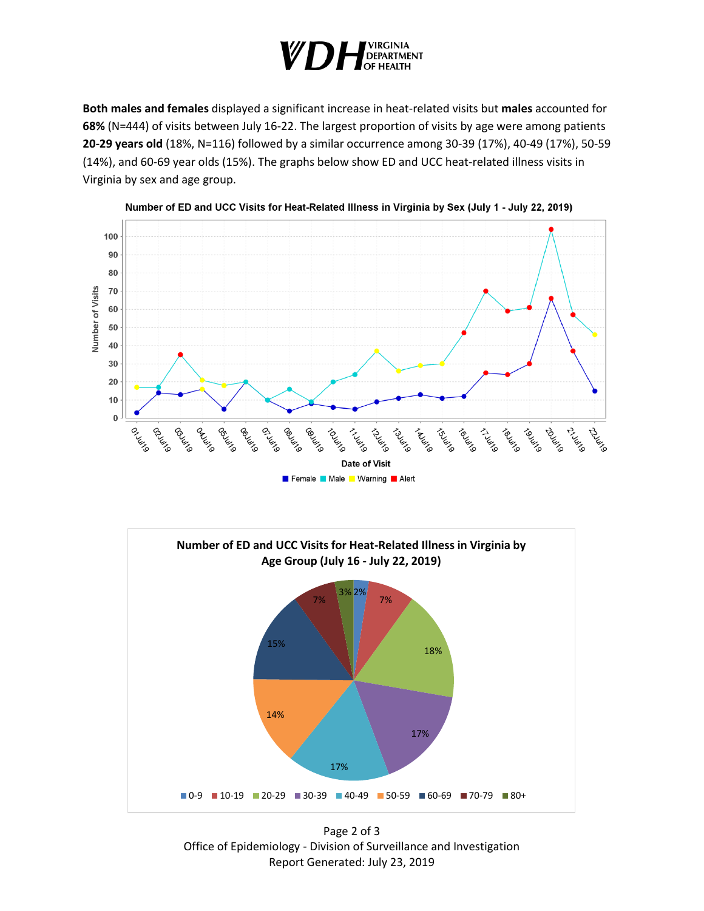

**Both males and females** displayed a significant increase in heat-related visits but **males** accounted for **68%** (N=444) of visits between July 16-22. The largest proportion of visits by age were among patients **20-29 years old** (18%, N=116) followed by a similar occurrence among 30-39 (17%), 40-49 (17%), 50-59 (14%), and 60-69 year olds (15%). The graphs below show ED and UCC heat-related illness visits in Virginia by sex and age group.







Page 2 of 3 Office of Epidemiology - Division of Surveillance and Investigation Report Generated: July 23, 2019